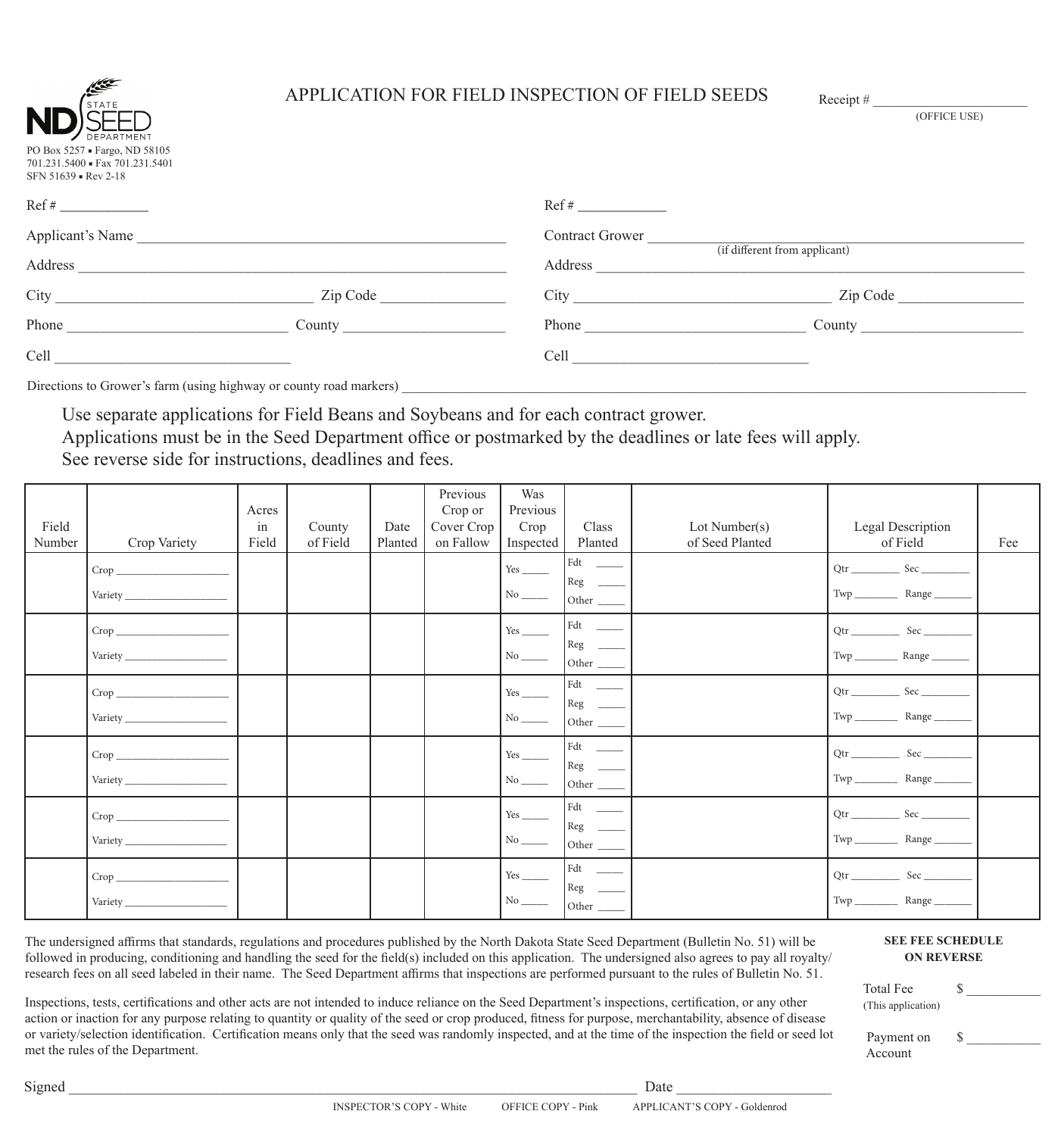| S.<br>DEPARTMENT                                                                     |
|--------------------------------------------------------------------------------------|
| PO Box 5257 · Fargo, ND 58105<br>701.231.5400 Fax 701.231.5401<br>SFN 51639 Rev 2-18 |

## APPLICATION FOR FIELD INSPECTION OF FIELD SEEDS Receipt #

| DEPARTMENT                                                                               |          |                                          |          |  |  |
|------------------------------------------------------------------------------------------|----------|------------------------------------------|----------|--|--|
| PO Box 5257 · Fargo, ND 58105<br>701.231.5400 · Fax 701.231.5401<br>SFN 51639 - Rev 2-18 |          |                                          |          |  |  |
|                                                                                          |          |                                          |          |  |  |
| <b>Applicant's Name</b>                                                                  |          | <b>Contract Grower</b>                   |          |  |  |
| Address                                                                                  |          | (if different from applicant)<br>Address |          |  |  |
| City                                                                                     | Zip Code | City                                     | Zip Code |  |  |
| Phone                                                                                    | County   | Phone                                    | County   |  |  |
| Cell                                                                                     |          | Cell                                     |          |  |  |

Directions to Grower's farm (using highway or county road markers) \_

Use separate applications for Field Beans and Soybeans and for each contract grower.

Applications must be in the Seed Department office or postmarked by the deadlines or late fees will apply.

See reverse side for instructions, deadlines and fees.

| Field<br>Number | Crop Variety                                                                                                                                                                                                                                                                                                                                                       | Acres<br>in<br>Field | County<br>of Field | Date<br>Planted | Previous<br>Crop or<br>Cover Crop<br>on Fallow | Was<br>Previous<br>Crop<br>Inspected                          | Class<br>Planted                                                                                          | Lot Number(s)<br>of Seed Planted | Legal Description<br>of Field                                    | Fee |
|-----------------|--------------------------------------------------------------------------------------------------------------------------------------------------------------------------------------------------------------------------------------------------------------------------------------------------------------------------------------------------------------------|----------------------|--------------------|-----------------|------------------------------------------------|---------------------------------------------------------------|-----------------------------------------------------------------------------------------------------------|----------------------------------|------------------------------------------------------------------|-----|
|                 | $\begin{picture}(150,10) \put(0,0){\vector(1,0){100}} \put(15,0){\vector(1,0){100}} \put(15,0){\vector(1,0){100}} \put(15,0){\vector(1,0){100}} \put(15,0){\vector(1,0){100}} \put(15,0){\vector(1,0){100}} \put(15,0){\vector(1,0){100}} \put(15,0){\vector(1,0){100}} \put(15,0){\vector(1,0){100}} \put(15,0){\vector(1,0){100}} \put(15,0){\vector(1,0){100}}$ |                      |                    |                 |                                                | $Yes$ <sub>______</sub><br>$\sqrt{\text{No}}$                 | $\begin{tabular}{ c c } \hline \text{Fdt} & $\underline{\hspace{15mm}}$ \\ \hline \end{tabular}$<br>Other |                                  | $Twp$ <sub>__________</sub><br>Range _                           |     |
|                 | $\begin{tabular}{c} \textbf{Variety} \end{tabular}$                                                                                                                                                                                                                                                                                                                |                      |                    |                 |                                                | $\,$ No $\underline{\qquad \qquad }$                          |                                                                                                           |                                  | Range $_{-}$                                                     |     |
|                 | $\begin{picture}(150,10) \put(0,0){\vector(1,0){100}} \put(15,0){\vector(1,0){100}} \put(15,0){\vector(1,0){100}} \put(15,0){\vector(1,0){100}} \put(15,0){\vector(1,0){100}} \put(15,0){\vector(1,0){100}} \put(15,0){\vector(1,0){100}} \put(15,0){\vector(1,0){100}} \put(15,0){\vector(1,0){100}} \put(15,0){\vector(1,0){100}} \put(15,0){\vector(1,0){100}}$ |                      |                    |                 |                                                | Yes                                                           | $Fdt$<br>$\ensuremath{\mathsf{Reg}}\xspace$                                                               |                                  | Otr<br>Sec<br>$\mbox{Twp}\xrightarrow{\hspace*{1.5cm}}$<br>Range |     |
|                 | $\begin{tabular}{c} \textbf{Variety} \end{tabular}$                                                                                                                                                                                                                                                                                                                |                      |                    |                 |                                                | $Yes$<br>$\sqrt{\text{No}}$                                   | $_{\rm Fdt}$                                                                                              |                                  |                                                                  |     |
|                 | $\begin{picture}(150,10) \put(0,0){\vector(1,0){100}} \put(15,0){\vector(1,0){100}} \put(15,0){\vector(1,0){100}} \put(15,0){\vector(1,0){100}} \put(15,0){\vector(1,0){100}} \put(15,0){\vector(1,0){100}} \put(15,0){\vector(1,0){100}} \put(15,0){\vector(1,0){100}} \put(15,0){\vector(1,0){100}} \put(15,0){\vector(1,0){100}} \put(15,0){\vector(1,0){100}}$ |                      |                    |                 |                                                | $Yes$ <sub>____</sub><br>$\,$ No $\underline{\qquad \qquad }$ | Other                                                                                                     |                                  |                                                                  |     |
|                 |                                                                                                                                                                                                                                                                                                                                                                    |                      |                    |                 |                                                | $\,$ No $\_$                                                  | $Reg$ $\_\_$                                                                                              |                                  | $Qtr$ Sec<br>Twp_<br>Range                                       |     |

The undersigned affirms that standards, regulations and procedures published by the North Dakota State Seed Department (Bulletin No. 51) will be followed in producing, conditioning and handling the seed for the field(s) included on this application. The undersigned also agrees to pay all royalty/ research fees on all seed labeled in their name. The Seed Department affirms that inspections are performed pursuant to the rules of Bulletin No. 51.

Inspections, tests, certifications and other acts are not intended to induce reliance on the Seed Department's inspections, certification, or any other action or inaction for any purpose relating to quantity or quality of the seed or crop produced, fitness for purpose, merchantability, absence of disease or variety/selection identification. Certification means only that the seed was randomly inspected, and at the time of the inspection the field or seed lot met the rules of the Department.

## **SEE FEE SCHEDULE ON REVERSE**

(OFFICE USE)

| <b>Total Fee</b>   |   |
|--------------------|---|
| (This application) |   |
| Payment on         | Ж |
| Account            |   |

 $Signed \_\_$ 

INSPECTOR'S COPY - White OFFICE COPY - Pink APPLICANT'S COPY - Goldenrod